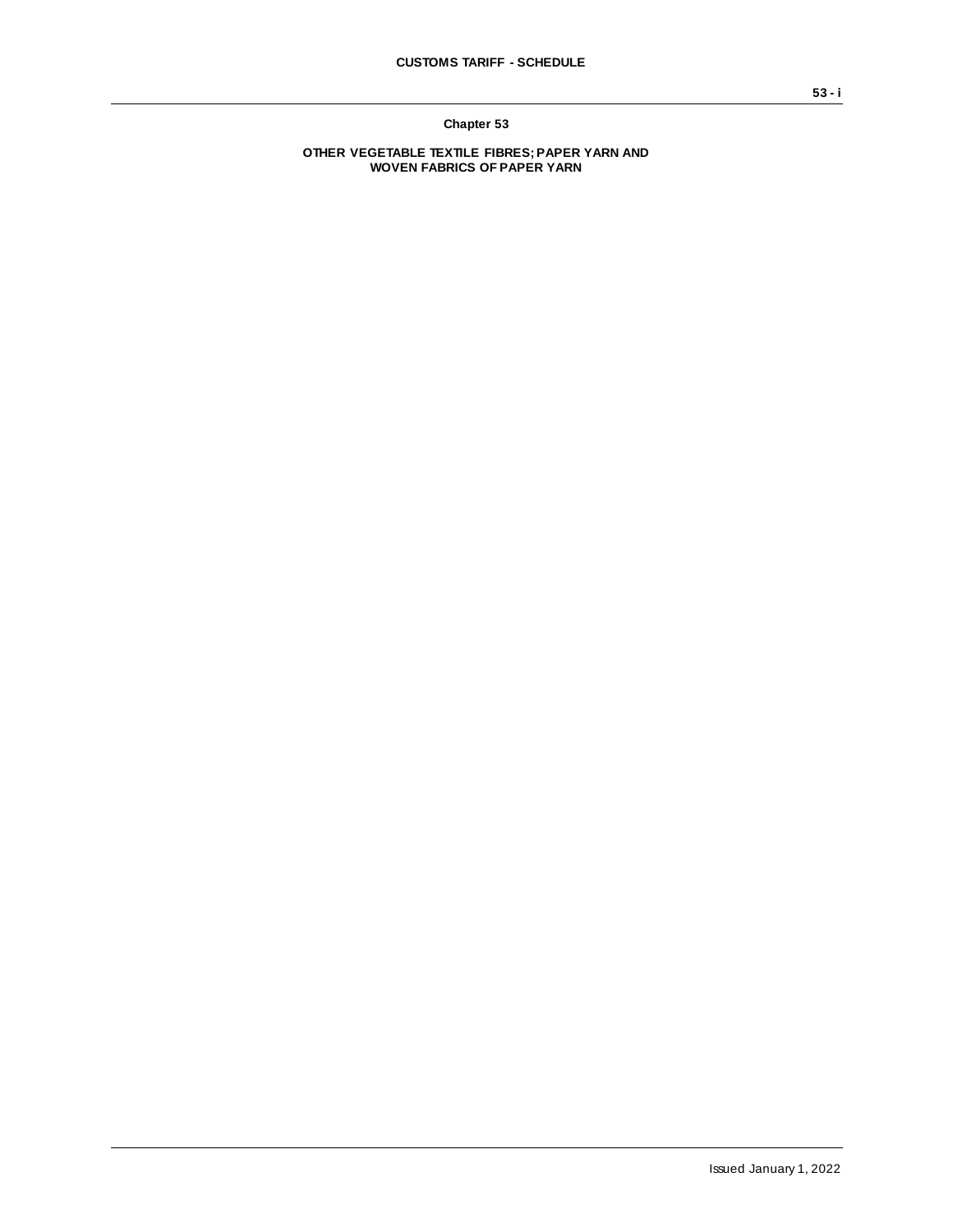**Chapter 53**

**OTHER VEGETABLE TEXTILE FIBRES; PAPER YARN AND WOVEN FABRICS OF PAPER YARN**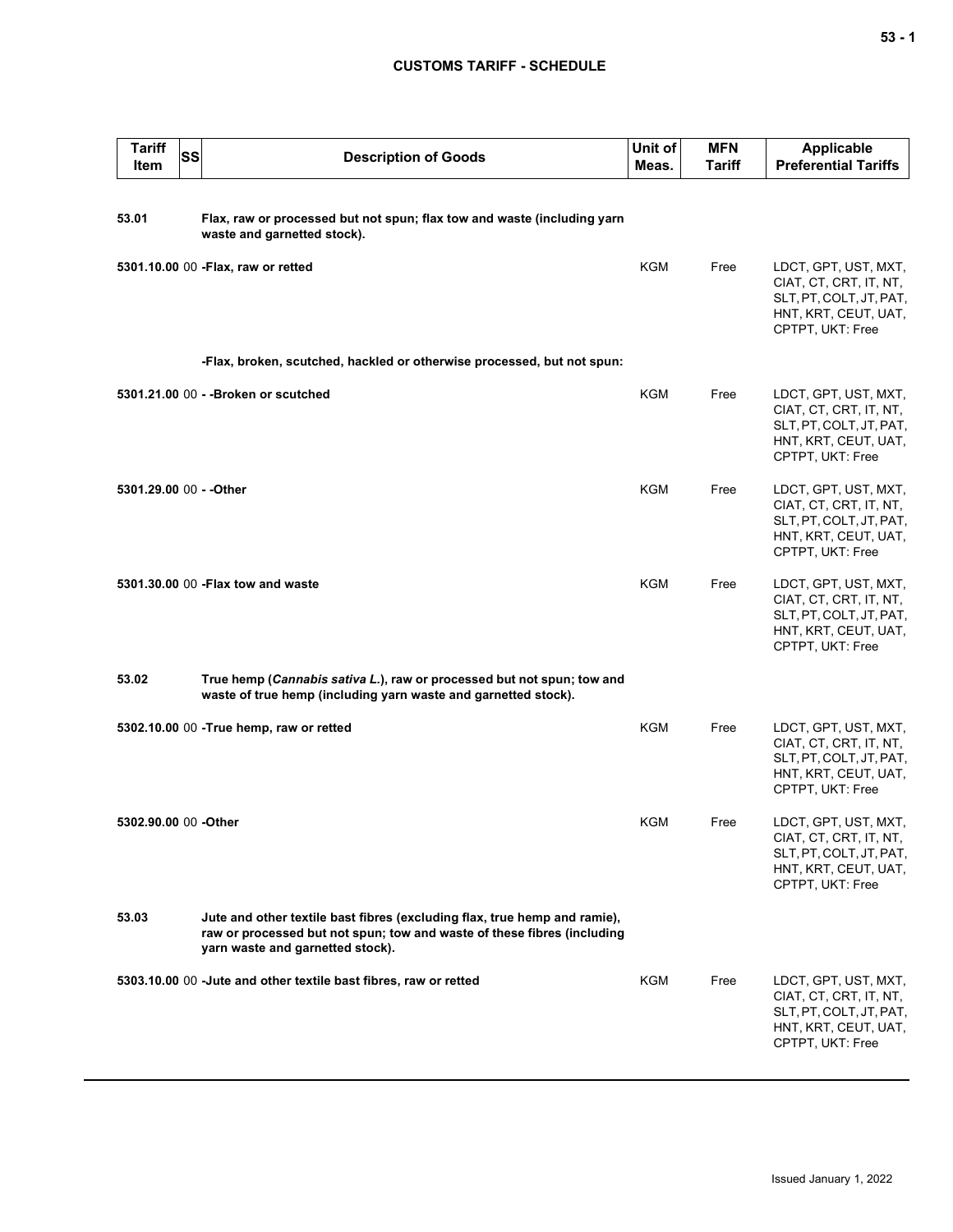## **CUSTOMS TARIFF - SCHEDULE**

| <b>Tariff</b><br>Item   | SS | <b>Description of Goods</b>                                                                                                                                                              | Unit of<br>Meas. | <b>MFN</b><br>Tariff | <b>Applicable</b><br><b>Preferential Tariffs</b>                                                                      |
|-------------------------|----|------------------------------------------------------------------------------------------------------------------------------------------------------------------------------------------|------------------|----------------------|-----------------------------------------------------------------------------------------------------------------------|
| 53.01                   |    | Flax, raw or processed but not spun; flax tow and waste (including yarn<br>waste and garnetted stock).                                                                                   |                  |                      |                                                                                                                       |
|                         |    | 5301.10.00 00 - Flax, raw or retted                                                                                                                                                      | <b>KGM</b>       | Free                 | LDCT, GPT, UST, MXT,<br>CIAT, CT, CRT, IT, NT,<br>SLT, PT, COLT, JT, PAT,<br>HNT, KRT, CEUT, UAT,<br>CPTPT, UKT: Free |
|                         |    | -Flax, broken, scutched, hackled or otherwise processed, but not spun:                                                                                                                   |                  |                      |                                                                                                                       |
|                         |    | 5301.21.00 00 - - Broken or scutched                                                                                                                                                     | KGM              | Free                 | LDCT, GPT, UST, MXT,<br>CIAT, CT, CRT, IT, NT,<br>SLT, PT, COLT, JT, PAT,<br>HNT, KRT, CEUT, UAT,<br>CPTPT, UKT: Free |
| 5301.29.00 00 - - Other |    |                                                                                                                                                                                          | KGM              | Free                 | LDCT, GPT, UST, MXT,<br>CIAT, CT, CRT, IT, NT,<br>SLT, PT, COLT, JT, PAT,<br>HNT, KRT, CEUT, UAT,<br>CPTPT, UKT: Free |
|                         |    | 5301.30.00 00 - Flax tow and waste                                                                                                                                                       | <b>KGM</b>       | Free                 | LDCT, GPT, UST, MXT,<br>CIAT, CT, CRT, IT, NT,<br>SLT, PT, COLT, JT, PAT,<br>HNT, KRT, CEUT, UAT,<br>CPTPT, UKT: Free |
| 53.02                   |    | True hemp (Cannabis sativa L.), raw or processed but not spun; tow and<br>waste of true hemp (including yarn waste and garnetted stock).                                                 |                  |                      |                                                                                                                       |
|                         |    | 5302.10.00 00 - True hemp, raw or retted                                                                                                                                                 | KGM              | Free                 | LDCT, GPT, UST, MXT,<br>CIAT, CT, CRT, IT, NT,<br>SLT, PT, COLT, JT, PAT,<br>HNT, KRT, CEUT, UAT,<br>CPTPT, UKT: Free |
| 5302.90.00 00 -Other    |    |                                                                                                                                                                                          | <b>KGM</b>       | Free                 | LDCT, GPT, UST, MXT,<br>CIAT, CT, CRT, IT, NT,<br>SLT, PT, COLT, JT, PAT,<br>HNT, KRT, CEUT, UAT,<br>CPTPT, UKT: Free |
| 53.03                   |    | Jute and other textile bast fibres (excluding flax, true hemp and ramie),<br>raw or processed but not spun; tow and waste of these fibres (including<br>yarn waste and garnetted stock). |                  |                      |                                                                                                                       |
|                         |    | 5303.10.00 00 -Jute and other textile bast fibres, raw or retted                                                                                                                         | KGM              | Free                 | LDCT, GPT, UST, MXT,<br>CIAT, CT, CRT, IT, NT,<br>SLT, PT, COLT, JT, PAT,<br>HNT, KRT, CEUT, UAT,<br>CPTPT, UKT: Free |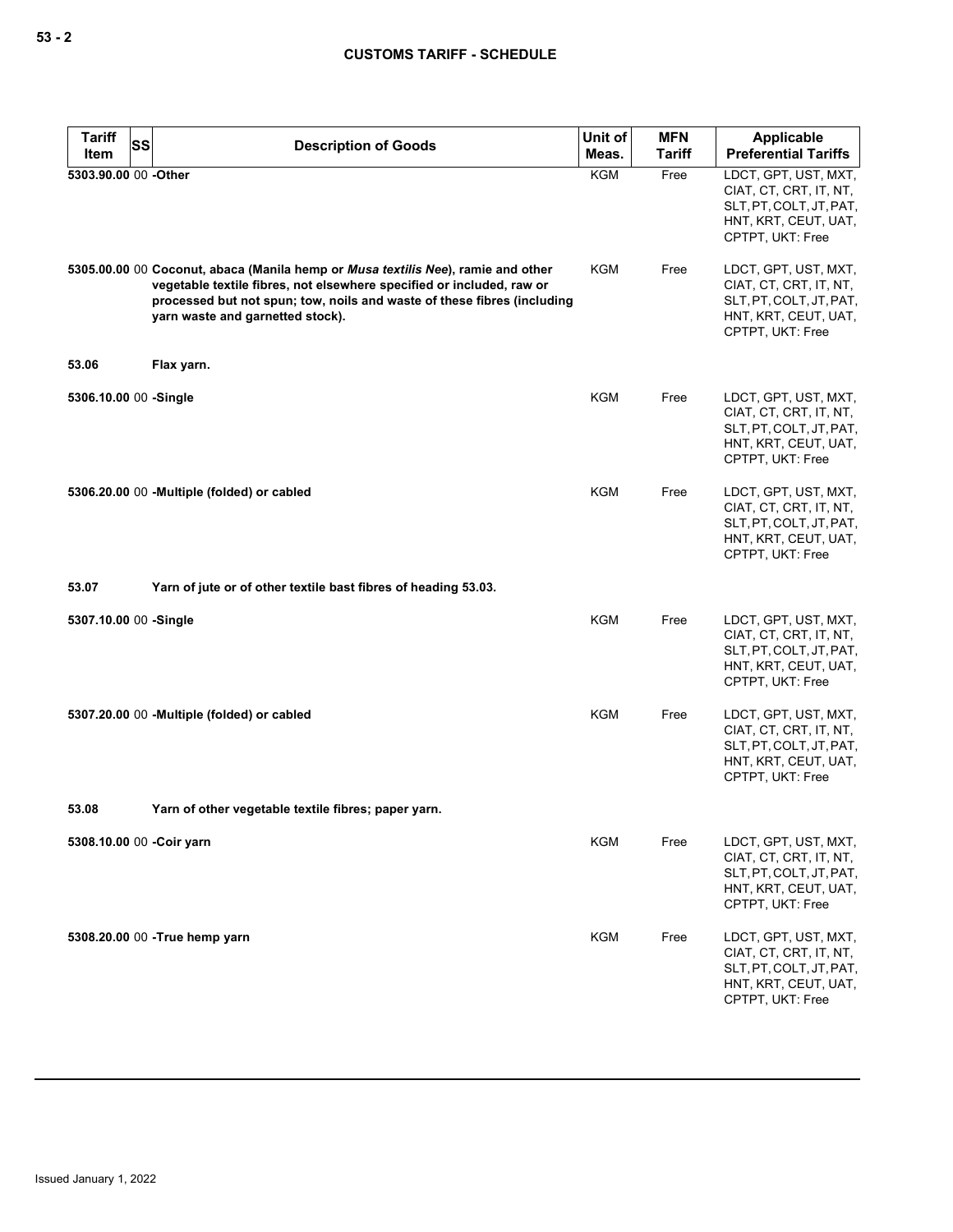| <b>Tariff</b><br>Item | SS | <b>Description of Goods</b>                                                                                                                                                                                                                                              | Unit of<br>Meas. | <b>MFN</b><br>Tariff | <b>Applicable</b><br><b>Preferential Tariffs</b>                                                                      |
|-----------------------|----|--------------------------------------------------------------------------------------------------------------------------------------------------------------------------------------------------------------------------------------------------------------------------|------------------|----------------------|-----------------------------------------------------------------------------------------------------------------------|
| 5303.90.00 00 - Other |    |                                                                                                                                                                                                                                                                          | <b>KGM</b>       | Free                 | LDCT, GPT, UST, MXT,<br>CIAT, CT, CRT, IT, NT,<br>SLT, PT, COLT, JT, PAT,<br>HNT, KRT, CEUT, UAT,<br>CPTPT, UKT: Free |
|                       |    | 5305.00.00 00 Coconut, abaca (Manila hemp or Musa textilis Nee), ramie and other<br>vegetable textile fibres, not elsewhere specified or included, raw or<br>processed but not spun; tow, noils and waste of these fibres (including<br>yarn waste and garnetted stock). | KGM              | Free                 | LDCT, GPT, UST, MXT,<br>CIAT, CT, CRT, IT, NT,<br>SLT, PT, COLT, JT, PAT,<br>HNT, KRT, CEUT, UAT,<br>CPTPT, UKT: Free |
| 53.06                 |    | Flax yarn.                                                                                                                                                                                                                                                               |                  |                      |                                                                                                                       |
| 5306.10.00 00 -Single |    |                                                                                                                                                                                                                                                                          | KGM              | Free                 | LDCT, GPT, UST, MXT,<br>CIAT, CT, CRT, IT, NT,<br>SLT, PT, COLT, JT, PAT,<br>HNT, KRT, CEUT, UAT,<br>CPTPT, UKT: Free |
|                       |    | 5306.20.00 00 - Multiple (folded) or cabled                                                                                                                                                                                                                              | KGM              | Free                 | LDCT, GPT, UST, MXT,<br>CIAT, CT, CRT, IT, NT,<br>SLT, PT, COLT, JT, PAT,<br>HNT, KRT, CEUT, UAT,<br>CPTPT, UKT: Free |
| 53.07                 |    | Yarn of jute or of other textile bast fibres of heading 53.03.                                                                                                                                                                                                           |                  |                      |                                                                                                                       |
| 5307.10.00 00 -Single |    |                                                                                                                                                                                                                                                                          | KGM              | Free                 | LDCT, GPT, UST, MXT,<br>CIAT, CT, CRT, IT, NT,<br>SLT, PT, COLT, JT, PAT,<br>HNT, KRT, CEUT, UAT,<br>CPTPT, UKT: Free |
|                       |    | 5307.20.00 00 -Multiple (folded) or cabled                                                                                                                                                                                                                               | <b>KGM</b>       | Free                 | LDCT, GPT, UST, MXT,<br>CIAT, CT, CRT, IT, NT,<br>SLT, PT, COLT, JT, PAT,<br>HNT, KRT, CEUT, UAT,<br>CPTPT, UKT: Free |
| 53.08                 |    | Yarn of other vegetable textile fibres; paper yarn.                                                                                                                                                                                                                      |                  |                      |                                                                                                                       |
|                       |    | 5308.10.00 00 - Coir yarn                                                                                                                                                                                                                                                | <b>KGM</b>       | Free                 | LDCT, GPT, UST, MXT,<br>CIAT, CT, CRT, IT, NT,<br>SLT, PT, COLT, JT, PAT,<br>HNT, KRT, CEUT, UAT,<br>CPTPT, UKT: Free |
|                       |    | 5308.20.00 00 - True hemp yarn                                                                                                                                                                                                                                           | <b>KGM</b>       | Free                 | LDCT, GPT, UST, MXT,<br>CIAT, CT, CRT, IT, NT,<br>SLT, PT, COLT, JT, PAT,<br>HNT, KRT, CEUT, UAT,<br>CPTPT, UKT: Free |